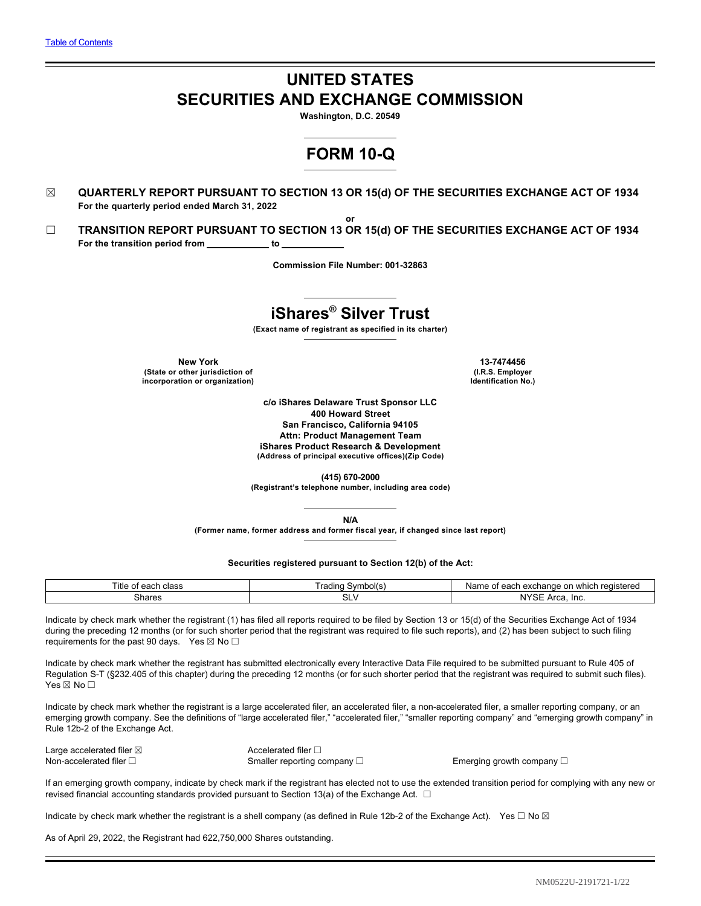# **UNITED STATES SECURITIES AND EXCHANGE COMMISSION**

**Washington, D.C. 20549**

# **FORM 10-Q**

☒ **QUARTERLY REPORT PURSUANT TO SECTION 13 OR 15(d) OF THE SECURITIES EXCHANGE ACT OF 1934 For the quarterly period ended March 31, 2022**

**or**

☐ **TRANSITION REPORT PURSUANT TO SECTION 13 OR 15(d) OF THE SECURITIES EXCHANGE ACT OF 1934** For the transition period from to

**Commission File Number: 001-32863**

# **iShares® Silver Trust**

**(Exact name of registrant as specified in its charter)**

**New York 13-7474456 (State or other jurisdiction of incorporation or organization)**

**(I.R.S. Employer Identification No.)**

**c/o iShares Delaware Trust Sponsor LLC 400 Howard Street San Francisco, California 94105 Attn: Product Management Team iShares Product Research & Development (Address of principal executive offices)(Zip Code)**

**(415) 670-2000 (Registrant's telephone number, including area code)**

**N/A**

**(Former name, former address and former fiscal year, if changed since last report)**

**Securities registered pursuant to Section 12(b) of the Act:**

| ! ıtle<br>$\sim$<br>^^^<br>ciass<br>cau<br>. | .5V <sub>m</sub><br>mbol(s<br>radino | reaistered<br>hange on<br>$\sim$<br>which<br>$\sim$ $\sim$<br>Ωr<br>៲ᇦ៱ຩ៲<br>vaı.<br><b>G</b> aul<br>. |
|----------------------------------------------|--------------------------------------|--------------------------------------------------------------------------------------------------------|
| Shares                                       | $\sim$<br>◡                          | $\sim$<br>. היו<br>"r<br>N<br><br>va                                                                   |

Indicate by check mark whether the registrant (1) has filed all reports required to be filed by Section 13 or 15(d) of the Securities Exchange Act of 1934 during the preceding 12 months (or for such shorter period that the registrant was required to file such reports), and (2) has been subject to such filing requirements for the past 90 days. Yes  $\boxtimes$  No $\Box$ 

Indicate by check mark whether the registrant has submitted electronically every Interactive Data File required to be submitted pursuant to Rule 405 of Regulation S-T (§232.405 of this chapter) during the preceding 12 months (or for such shorter period that the registrant was required to submit such files). Yes ⊠ No □

Indicate by check mark whether the registrant is a large accelerated filer, an accelerated filer, a non-accelerated filer, a smaller reporting company, or an emerging growth company. See the definitions of "large accelerated filer," "accelerated filer," "smaller reporting company" and "emerging growth company" in Rule 12b-2 of the Exchange Act.

Large accelerated filer ⊠ accelerated filer □

Non-accelerated filer □ smaller reporting company □ Temerging growth company □

If an emerging growth company, indicate by check mark if the registrant has elected not to use the extended transition period for complying with any new or revised financial accounting standards provided pursuant to Section 13(a) of the Exchange Act.  $\Box$ 

Indicate by check mark whether the registrant is a shell company (as defined in Rule 12b-2 of the Exchange Act). Yes  $\Box$  No  $\boxtimes$ 

As of April 29, 2022, the Registrant had 622,750,000 Shares outstanding.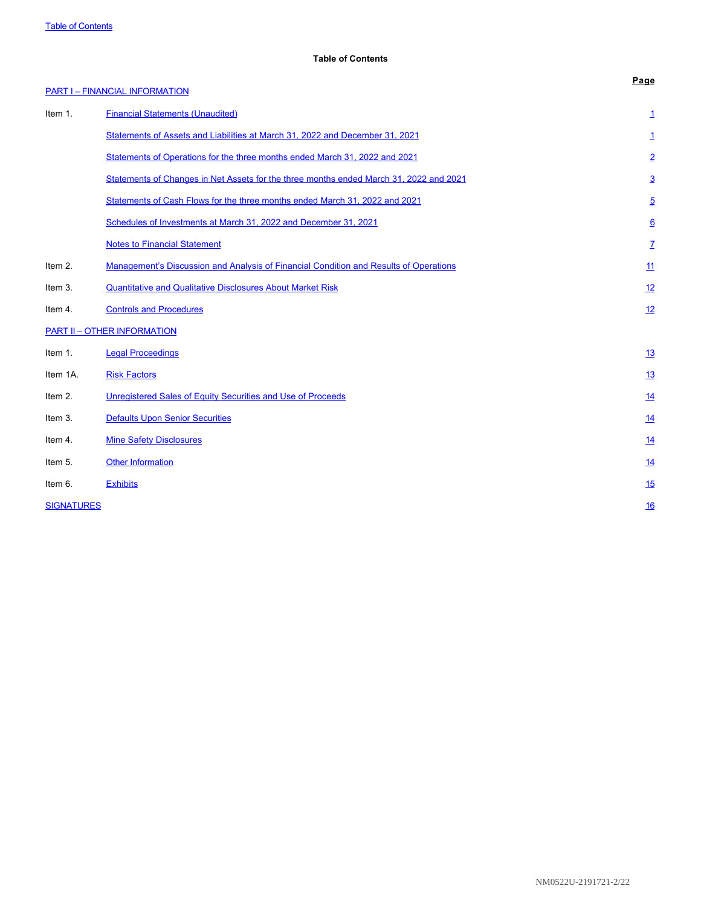## <span id="page-1-0"></span>**Table of Contents**

|                   | <b>PART I-FINANCIAL INFORMATION</b>                                                    | Page            |
|-------------------|----------------------------------------------------------------------------------------|-----------------|
| Item 1.           | <b>Financial Statements (Unaudited)</b>                                                | 1               |
|                   | Statements of Assets and Liabilities at March 31, 2022 and December 31, 2021           | 1               |
|                   | Statements of Operations for the three months ended March 31, 2022 and 2021            | $\overline{2}$  |
|                   | Statements of Changes in Net Assets for the three months ended March 31, 2022 and 2021 | $\overline{3}$  |
|                   | Statements of Cash Flows for the three months ended March 31, 2022 and 2021            | $\overline{5}$  |
|                   | Schedules of Investments at March 31, 2022 and December 31, 2021                       | $\underline{6}$ |
|                   | <b>Notes to Financial Statement</b>                                                    | $\overline{1}$  |
| Item 2.           | Management's Discussion and Analysis of Financial Condition and Results of Operations  | 11              |
| Item 3.           | <b>Quantitative and Qualitative Disclosures About Market Risk</b>                      | 12              |
| Item 4.           | <b>Controls and Procedures</b>                                                         | 12              |
|                   | <b>PART II - OTHER INFORMATION</b>                                                     |                 |
| Item 1.           | <b>Legal Proceedings</b>                                                               | 13              |
| Item 1A.          | <b>Risk Factors</b>                                                                    | <u>13</u>       |
| Item 2.           | Unregistered Sales of Equity Securities and Use of Proceeds                            | <u>14</u>       |
| Item 3.           | <b>Defaults Upon Senior Securities</b>                                                 | <u>14</u>       |
| Item 4.           | <b>Mine Safety Disclosures</b>                                                         | <u>14</u>       |
| Item 5.           | <b>Other Information</b>                                                               | 14              |
| Item 6.           | <b>Exhibits</b>                                                                        | 15              |
| <b>SIGNATURES</b> |                                                                                        | <u>16</u>       |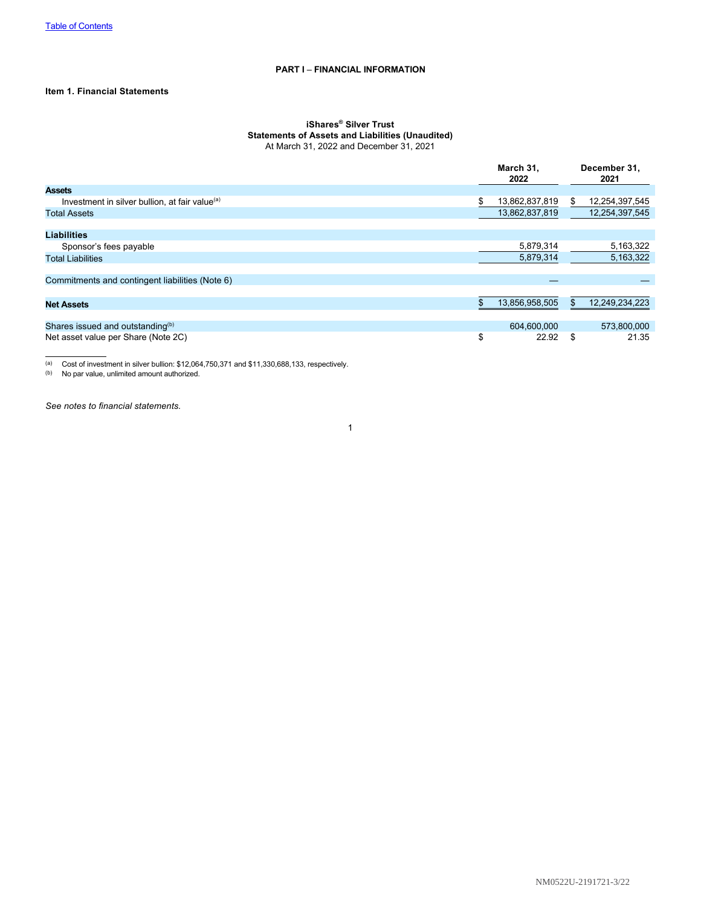## <span id="page-2-0"></span>**PART I** – **FINANCIAL INFORMATION**

## <span id="page-2-1"></span>**Item 1. Financial Statements**

#### <span id="page-2-2"></span>**iShares® Silver Trust Statements of Assets and Liabilities (Unaudited)** At March 31, 2022 and December 31, 2021

|                                                            | March 31,<br>2022    |     | December 31,<br>2021 |
|------------------------------------------------------------|----------------------|-----|----------------------|
| <b>Assets</b>                                              |                      |     |                      |
| Investment in silver bullion, at fair value <sup>(a)</sup> | \$<br>13,862,837,819 | \$  | 12,254,397,545       |
| <b>Total Assets</b>                                        | 13,862,837,819       |     | 12,254,397,545       |
|                                                            |                      |     |                      |
| <b>Liabilities</b>                                         |                      |     |                      |
| Sponsor's fees payable                                     | 5,879,314            |     | 5,163,322            |
| <b>Total Liabilities</b>                                   | 5,879,314            |     | 5,163,322            |
|                                                            |                      |     |                      |
| Commitments and contingent liabilities (Note 6)            |                      |     |                      |
|                                                            |                      |     |                      |
| <b>Net Assets</b>                                          | 13,856,958,505       | \$. | 12,249,234,223       |
|                                                            |                      |     |                      |
| Shares issued and outstanding <sup>(b)</sup>               | 604.600.000          |     | 573,800,000          |
| Net asset value per Share (Note 2C)                        | \$<br>22.92          | -\$ | 21.35                |

(a) Cost of investment in silver bullion: \$12,064,750,371 and \$11,330,688,133, respectively.

(b) No par value, unlimited amount authorized.

*See notes to financial statements.*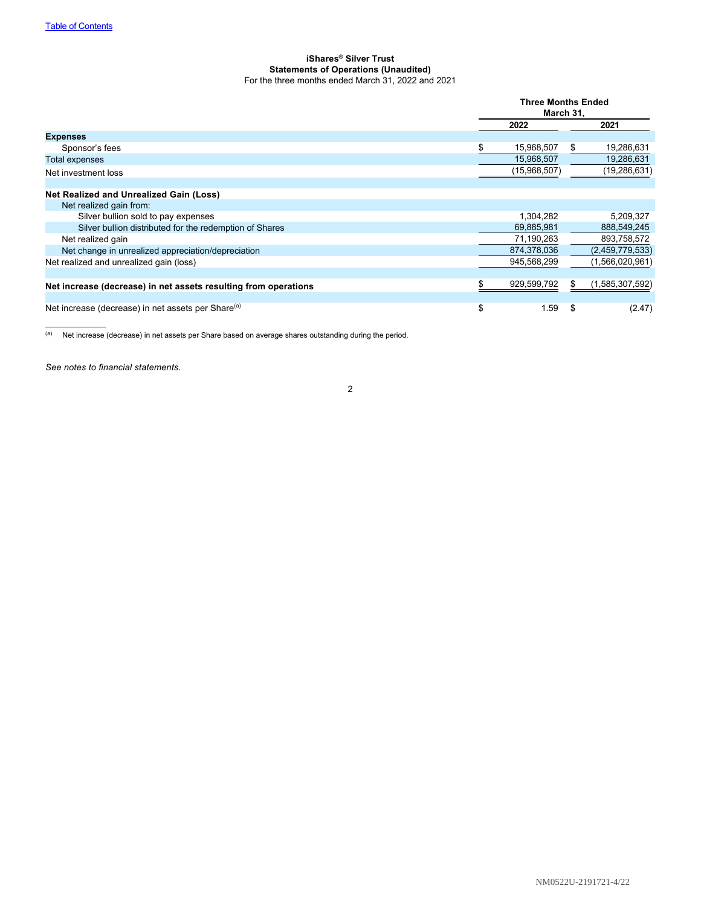#### <span id="page-3-0"></span>**iShares® Silver Trust Statements of Operations (Unaudited)** For the three months ended March 31, 2022 and 2021

|                                                                 | <b>Three Months Ended</b><br>March 31, |     |                 |
|-----------------------------------------------------------------|----------------------------------------|-----|-----------------|
|                                                                 | 2022                                   |     | 2021            |
| <b>Expenses</b>                                                 |                                        |     |                 |
| Sponsor's fees                                                  | 15,968,507                             | \$. | 19,286,631      |
| <b>Total expenses</b>                                           | 15,968,507                             |     | 19,286,631      |
| Net investment loss                                             | (15,968,507)                           |     | (19,286,631)    |
|                                                                 |                                        |     |                 |
| Net Realized and Unrealized Gain (Loss)                         |                                        |     |                 |
| Net realized gain from:                                         |                                        |     |                 |
| Silver bullion sold to pay expenses                             | 1,304,282                              |     | 5,209,327       |
| Silver bullion distributed for the redemption of Shares         | 69,885,981                             |     | 888,549,245     |
| Net realized gain                                               | 71,190,263                             |     | 893,758,572     |
| Net change in unrealized appreciation/depreciation              | 874,378,036                            |     | (2,459,779,533) |
| Net realized and unrealized gain (loss)                         | 945,568,299                            |     | (1,566,020,961) |
|                                                                 |                                        |     |                 |
| Net increase (decrease) in net assets resulting from operations | 929,599,792                            | S.  | (1,585,307,592) |
|                                                                 |                                        |     |                 |
| Net increase (decrease) in net assets per Share <sup>(a)</sup>  | \$<br>1.59                             | S   | (2.47)          |

(a) Net increase (decrease) in net assets per Share based on average shares outstanding during the period.

*See notes to financial statements.*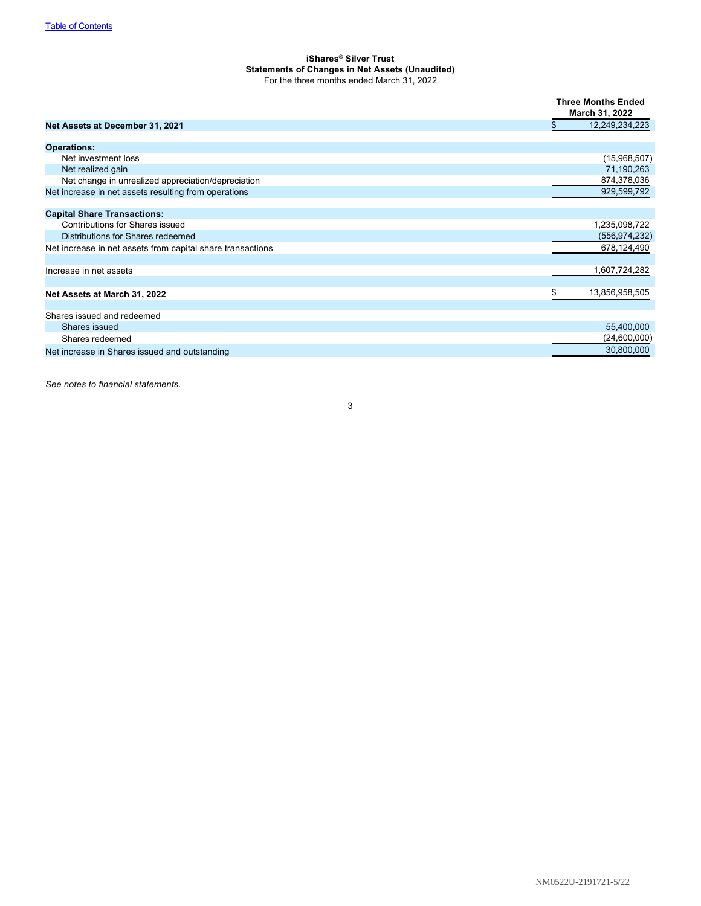## <span id="page-4-0"></span>**iShares® Silver Trust Statements of Changes in Net Assets (Unaudited)** For the three months ended March 31, 2022

|                                                            | <b>Three Months Ended</b><br>March 31, 2022 |
|------------------------------------------------------------|---------------------------------------------|
| Net Assets at December 31, 2021                            | 12,249,234,223<br>\$                        |
| <b>Operations:</b>                                         |                                             |
| Net investment loss                                        | (15,968,507)                                |
| Net realized gain                                          | 71,190,263                                  |
| Net change in unrealized appreciation/depreciation         | 874,378,036                                 |
| Net increase in net assets resulting from operations       | 929,599,792                                 |
| <b>Capital Share Transactions:</b>                         |                                             |
| <b>Contributions for Shares issued</b>                     | 1,235,098,722                               |
| Distributions for Shares redeemed                          | (556, 974, 232)                             |
| Net increase in net assets from capital share transactions | 678,124,490                                 |
| Increase in net assets                                     | 1,607,724,282                               |
| Net Assets at March 31, 2022                               | \$<br>13,856,958,505                        |
| Shares issued and redeemed                                 |                                             |
| Shares issued                                              | 55,400,000                                  |
| Shares redeemed                                            | (24,600,000)                                |
| Net increase in Shares issued and outstanding              | 30,800,000                                  |

*See notes to financial statements.*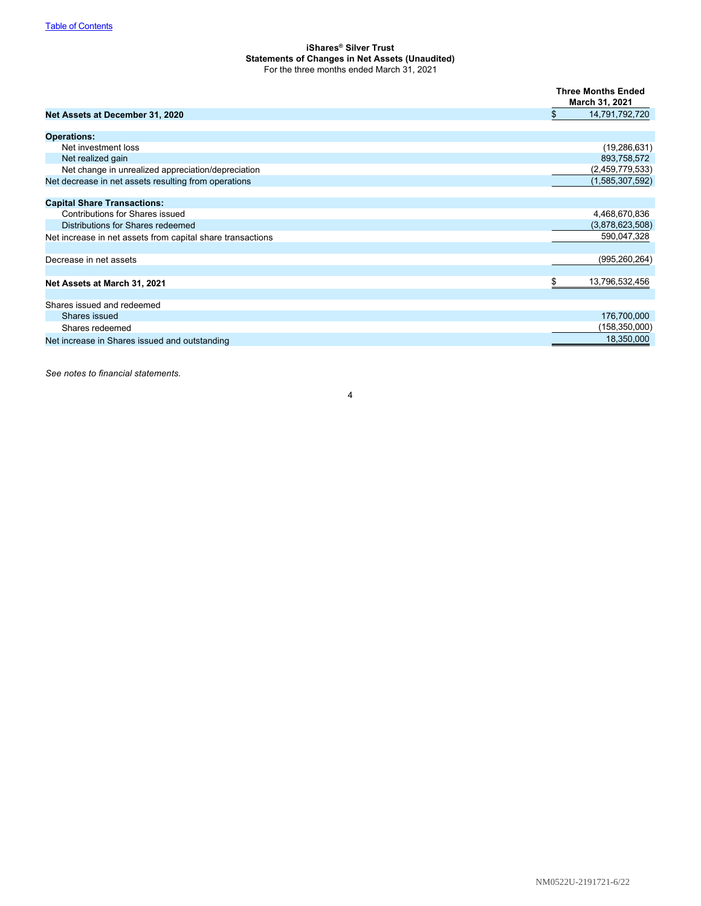#### **iShares® Silver Trust Statements of Changes in Net Assets (Unaudited)** For the three months ended March 31, 2021

|                                                            | <b>Three Months Ended</b><br>March 31, 2021 |
|------------------------------------------------------------|---------------------------------------------|
| Net Assets at December 31, 2020                            | \$<br>14,791,792,720                        |
| <b>Operations:</b>                                         |                                             |
| Net investment loss                                        | (19, 286, 631)                              |
| Net realized gain                                          | 893,758,572                                 |
| Net change in unrealized appreciation/depreciation         | (2,459,779,533)                             |
| Net decrease in net assets resulting from operations       | (1,585,307,592)                             |
| <b>Capital Share Transactions:</b>                         |                                             |
| <b>Contributions for Shares issued</b>                     | 4,468,670,836                               |
| Distributions for Shares redeemed                          | (3,878,623,508)                             |
| Net increase in net assets from capital share transactions | 590,047,328                                 |
| Decrease in net assets                                     | (995, 260, 264)                             |
| Net Assets at March 31, 2021                               | 13,796,532,456<br>S                         |
| Shares issued and redeemed                                 |                                             |
| Shares issued                                              | 176,700,000                                 |
| Shares redeemed                                            | (158, 350, 000)                             |
| Net increase in Shares issued and outstanding              | 18,350,000                                  |

*See notes to financial statements.*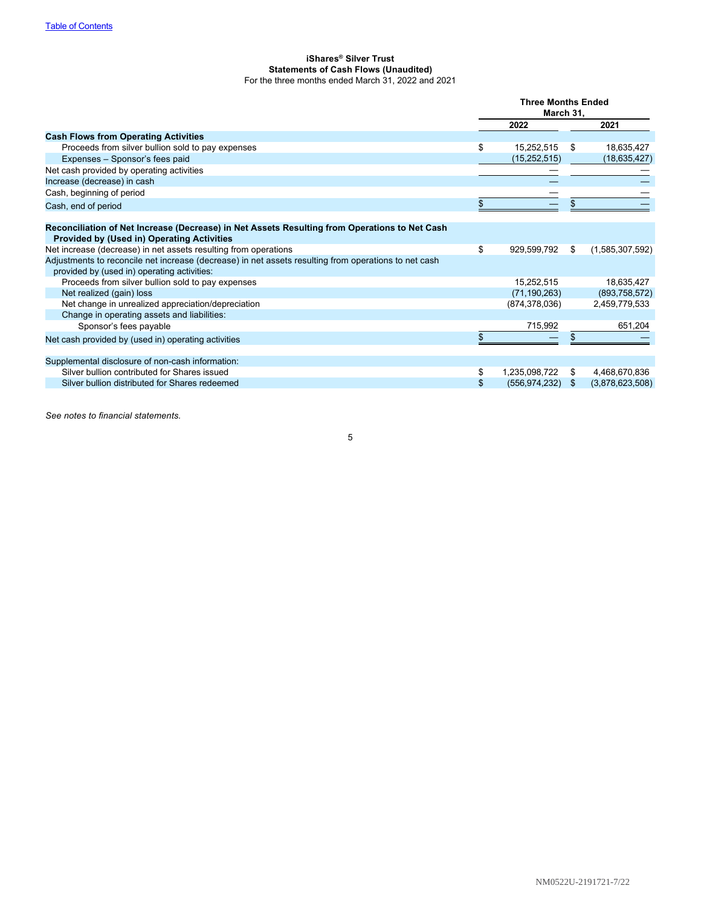### <span id="page-6-0"></span>**iShares® Silver Trust Statements of Cash Flows (Unaudited)** For the three months ended March 31, 2022 and 2021

|                                                                                                                                                    | <b>Three Months Ended</b><br>March 31, |                 |      |                 |
|----------------------------------------------------------------------------------------------------------------------------------------------------|----------------------------------------|-----------------|------|-----------------|
|                                                                                                                                                    |                                        | 2022            |      | 2021            |
| <b>Cash Flows from Operating Activities</b>                                                                                                        |                                        |                 |      |                 |
| Proceeds from silver bullion sold to pay expenses                                                                                                  | \$                                     | 15,252,515      | S    | 18,635,427      |
| Expenses - Sponsor's fees paid                                                                                                                     |                                        | (15, 252, 515)  |      | (18, 635, 427)  |
| Net cash provided by operating activities                                                                                                          |                                        |                 |      |                 |
| Increase (decrease) in cash                                                                                                                        |                                        |                 |      |                 |
| Cash, beginning of period                                                                                                                          |                                        |                 |      |                 |
| Cash, end of period                                                                                                                                | \$                                     |                 |      |                 |
|                                                                                                                                                    |                                        |                 |      |                 |
| Reconciliation of Net Increase (Decrease) in Net Assets Resulting from Operations to Net Cash<br><b>Provided by (Used in) Operating Activities</b> |                                        |                 |      |                 |
| Net increase (decrease) in net assets resulting from operations                                                                                    | \$                                     | 929,599,792     | \$   | (1,585,307,592) |
| Adjustments to reconcile net increase (decrease) in net assets resulting from operations to net cash                                               |                                        |                 |      |                 |
| provided by (used in) operating activities:<br>Proceeds from silver bullion sold to pay expenses                                                   |                                        | 15,252,515      |      | 18,635,427      |
| Net realized (gain) loss                                                                                                                           |                                        | (71, 190, 263)  |      | (893,758,572)   |
| Net change in unrealized appreciation/depreciation                                                                                                 |                                        | (874, 378, 036) |      | 2,459,779,533   |
| Change in operating assets and liabilities:                                                                                                        |                                        |                 |      |                 |
| Sponsor's fees payable                                                                                                                             |                                        | 715,992         |      | 651,204         |
| Net cash provided by (used in) operating activities                                                                                                | \$.                                    |                 |      |                 |
|                                                                                                                                                    |                                        |                 |      |                 |
| Supplemental disclosure of non-cash information:                                                                                                   |                                        |                 |      |                 |
| Silver bullion contributed for Shares issued                                                                                                       | \$                                     | 1,235,098,722   | S.   | 4,468,670,836   |
| Silver bullion distributed for Shares redeemed                                                                                                     | \$                                     | (556, 974, 232) | - \$ | (3,878,623,508) |
|                                                                                                                                                    |                                        |                 |      |                 |

*See notes to financial statements.*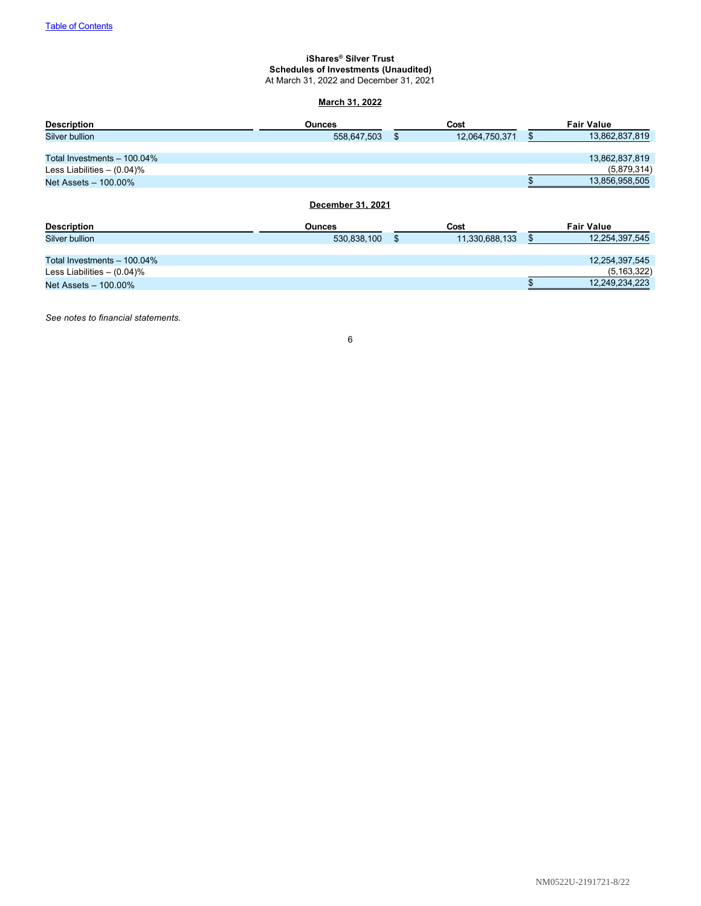### <span id="page-7-0"></span>**iShares® Silver Trust Schedules of Investments (Unaudited)** At March 31, 2022 and December 31, 2021

## **March 31, 2022**

| <b>Description</b>            | <b>Ounces</b>                      | Cost                 | <b>Fair Value</b>    |
|-------------------------------|------------------------------------|----------------------|----------------------|
| Silver bullion                | 558,647,503                        | \$<br>12,064,750,371 | \$<br>13,862,837,819 |
|                               |                                    |                      |                      |
| Total Investments - 100.04%   |                                    |                      | 13,862,837,819       |
| Less Liabilities $- (0.04)\%$ |                                    |                      | (5,879,314)          |
| Net Assets - 100.00%          |                                    |                      | 13,856,958,505       |
| <b>Description</b>            | December 31, 2021<br><b>Ounces</b> | Cost                 | <b>Fair Value</b>    |
| Silver bullion                | 530,838,100                        | \$<br>11,330,688,133 | \$<br>12,254,397,545 |
| Total Investments - 100.04%   |                                    |                      | 12,254,397,545       |
| Less Liabilities $- (0.04)\%$ |                                    |                      | (5, 163, 322)        |
| Net Assets - 100.00%          |                                    |                      | 12,249,234,223       |

*See notes to financial statements.*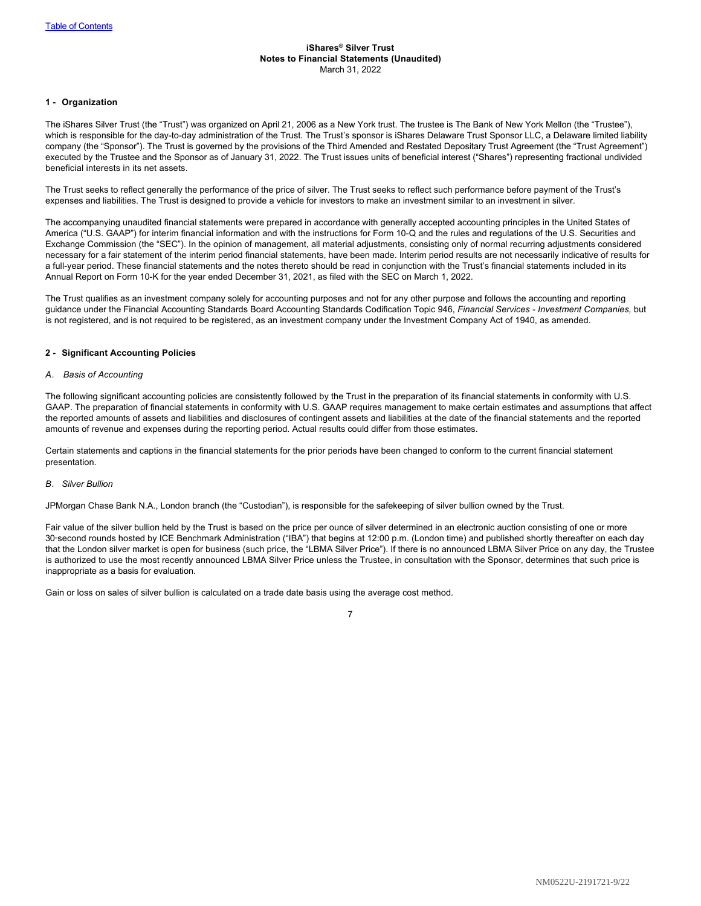#### <span id="page-8-0"></span>**iShares® Silver Trust Notes to Financial Statements (Unaudited)** March 31, 2022

#### **1 - Organization**

The iShares Silver Trust (the "Trust") was organized on April 21, 2006 as a New York trust. The trustee is The Bank of New York Mellon (the "Trustee"), which is responsible for the day-to-day administration of the Trust. The Trust's sponsor is iShares Delaware Trust Sponsor LLC, a Delaware limited liability company (the "Sponsor"). The Trust is governed by the provisions of the Third Amended and Restated Depositary Trust Agreement (the "Trust Agreement") executed by the Trustee and the Sponsor as of January 31, 2022. The Trust issues units of beneficial interest ("Shares") representing fractional undivided beneficial interests in its net assets.

The Trust seeks to reflect generally the performance of the price of silver. The Trust seeks to reflect such performance before payment of the Trust's expenses and liabilities. The Trust is designed to provide a vehicle for investors to make an investment similar to an investment in silver.

The accompanying unaudited financial statements were prepared in accordance with generally accepted accounting principles in the United States of America ("U.S. GAAP") for interim financial information and with the instructions for Form 10-Q and the rules and regulations of the U.S. Securities and Exchange Commission (the "SEC"). In the opinion of management, all material adjustments, consisting only of normal recurring adjustments considered necessary for a fair statement of the interim period financial statements, have been made. Interim period results are not necessarily indicative of results for a full-year period. These financial statements and the notes thereto should be read in conjunction with the Trust's financial statements included in its Annual Report on Form 10-K for the year ended December 31, 2021, as filed with the SEC on March 1, 2022.

The Trust qualifies as an investment company solely for accounting purposes and not for any other purpose and follows the accounting and reporting guidance under the Financial Accounting Standards Board Accounting Standards Codification Topic 946, *Financial Services - Investment Companies,* but is not registered, and is not required to be registered, as an investment company under the Investment Company Act of 1940, as amended.

#### **2 - Significant Accounting Policies**

#### *A. Basis of Accounting*

The following significant accounting policies are consistently followed by the Trust in the preparation of its financial statements in conformity with U.S. GAAP. The preparation of financial statements in conformity with U.S. GAAP requires management to make certain estimates and assumptions that affect the reported amounts of assets and liabilities and disclosures of contingent assets and liabilities at the date of the financial statements and the reported amounts of revenue and expenses during the reporting period. Actual results could differ from those estimates.

Certain statements and captions in the financial statements for the prior periods have been changed to conform to the current financial statement presentation.

#### *B. Silver Bullion*

JPMorgan Chase Bank N.A., London branch (the "Custodian"), is responsible for the safekeeping of silver bullion owned by the Trust.

Fair value of the silver bullion held by the Trust is based on the price per ounce of silver determined in an electronic auction consisting of one or more 30‑second rounds hosted by ICE Benchmark Administration ("IBA") that begins at 12:00 p.m. (London time) and published shortly thereafter on each day that the London silver market is open for business (such price, the "LBMA Silver Price"). If there is no announced LBMA Silver Price on any day, the Trustee is authorized to use the most recently announced LBMA Silver Price unless the Trustee, in consultation with the Sponsor, determines that such price is inappropriate as a basis for evaluation.

Gain or loss on sales of silver bullion is calculated on a trade date basis using the average cost method.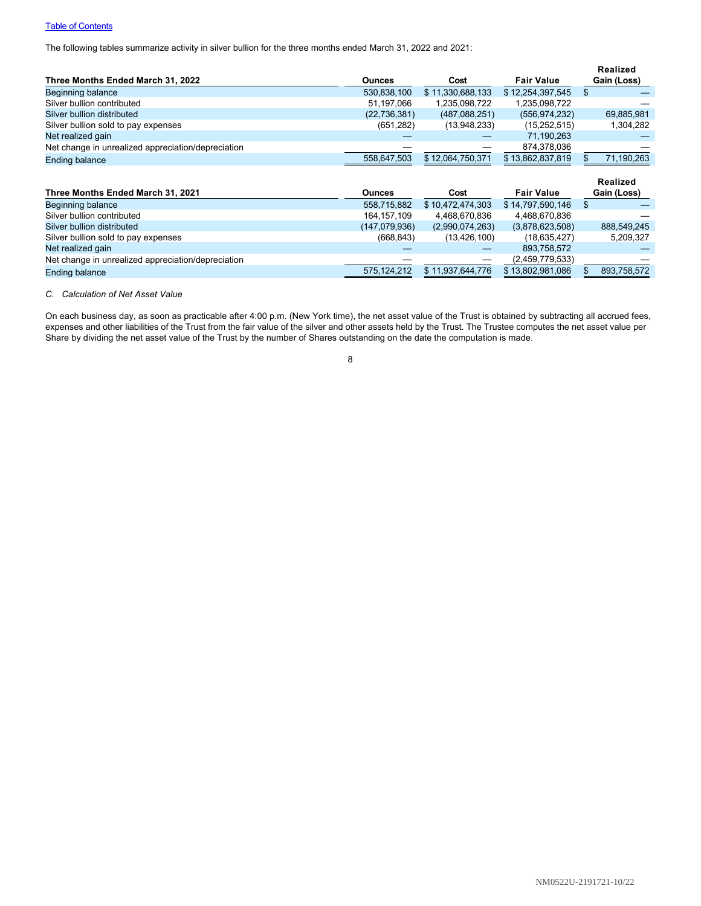## **[Table of Contents](#page-1-0)**

The following tables summarize activity in silver bullion for the three months ended March 31, 2022 and 2021:

|                                                    |                |                  |                   | <b>Realized</b> |
|----------------------------------------------------|----------------|------------------|-------------------|-----------------|
| Three Months Ended March 31, 2022                  | <b>Ounces</b>  | Cost             | <b>Fair Value</b> | Gain (Loss)     |
| Beginning balance                                  | 530,838,100    | \$11,330,688,133 | \$12,254,397,545  | \$              |
| Silver bullion contributed                         | 51,197,066     | 1,235,098,722    | 1,235,098,722     |                 |
| Silver bullion distributed                         | (22, 736, 381) | (487,088,251)    | (556, 974, 232)   | 69,885,981      |
| Silver bullion sold to pay expenses                | (651, 282)     | (13,948,233)     | (15, 252, 515)    | 1,304,282       |
| Net realized gain                                  |                |                  | 71,190,263        |                 |
| Net change in unrealized appreciation/depreciation |                |                  | 874,378,036       |                 |
| <b>Ending balance</b>                              | 558,647,503    | \$12,064,750,371 | \$13,862,837,819  | 71,190,263      |
|                                                    |                |                  |                   |                 |
|                                                    |                |                  |                   |                 |
|                                                    |                |                  |                   | <b>Realized</b> |
| Three Months Ended March 31, 2021                  | <b>Ounces</b>  | Cost             | <b>Fair Value</b> | Gain (Loss)     |
| Beginning balance                                  | 558,715,882    | \$10,472,474,303 | \$14,797,590,146  | $\mathfrak{s}$  |
| Silver bullion contributed                         | 164,157,109    | 4,468,670,836    | 4,468,670,836     |                 |
| Silver bullion distributed                         | (147,079,936)  | (2,990,074,263)  | (3,878,623,508)   | 888,549,245     |
| Silver bullion sold to pay expenses                | (668, 843)     | (13, 426, 100)   | (18, 635, 427)    | 5,209,327       |
| Net realized gain                                  |                |                  | 893,758,572       |                 |
| Net change in unrealized appreciation/depreciation |                |                  | (2,459,779,533)   |                 |

*C. Calculation of Net Asset Value*

On each business day, as soon as practicable after 4:00 p.m. (New York time), the net asset value of the Trust is obtained by subtracting all accrued fees, expenses and other liabilities of the Trust from the fair value of the silver and other assets held by the Trust. The Trustee computes the net asset value per Share by dividing the net asset value of the Trust by the number of Shares outstanding on the date the computation is made.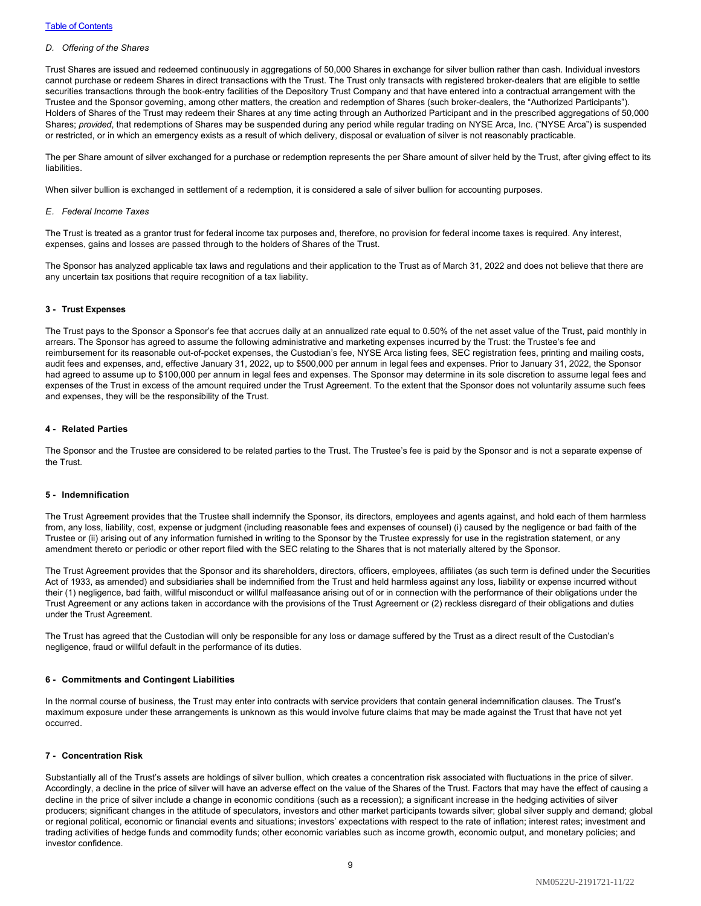#### *D. Offering of the Shares*

Trust Shares are issued and redeemed continuously in aggregations of 50,000 Shares in exchange for silver bullion rather than cash. Individual investors cannot purchase or redeem Shares in direct transactions with the Trust. The Trust only transacts with registered broker-dealers that are eligible to settle securities transactions through the book-entry facilities of the Depository Trust Company and that have entered into a contractual arrangement with the Trustee and the Sponsor governing, among other matters, the creation and redemption of Shares (such broker-dealers, the "Authorized Participants"). Holders of Shares of the Trust may redeem their Shares at any time acting through an Authorized Participant and in the prescribed aggregations of 50,000 Shares; *provided*, that redemptions of Shares may be suspended during any period while regular trading on NYSE Arca, Inc. ("NYSE Arca") is suspended or restricted, or in which an emergency exists as a result of which delivery, disposal or evaluation of silver is not reasonably practicable.

The per Share amount of silver exchanged for a purchase or redemption represents the per Share amount of silver held by the Trust, after giving effect to its **liabilities** 

When silver bullion is exchanged in settlement of a redemption, it is considered a sale of silver bullion for accounting purposes.

#### *E. Federal Income Taxes*

The Trust is treated as a grantor trust for federal income tax purposes and, therefore, no provision for federal income taxes is required. Any interest, expenses, gains and losses are passed through to the holders of Shares of the Trust.

The Sponsor has analyzed applicable tax laws and regulations and their application to the Trust as of March 31, 2022 and does not believe that there are any uncertain tax positions that require recognition of a tax liability.

#### **3 - Trust Expenses**

The Trust pays to the Sponsor a Sponsor's fee that accrues daily at an annualized rate equal to 0.50% of the net asset value of the Trust, paid monthly in arrears. The Sponsor has agreed to assume the following administrative and marketing expenses incurred by the Trust: the Trustee's fee and reimbursement for its reasonable out-of-pocket expenses, the Custodian's fee, NYSE Arca listing fees, SEC registration fees, printing and mailing costs, audit fees and expenses, and, effective January 31, 2022, up to \$500,000 per annum in legal fees and expenses. Prior to January 31, 2022, the Sponsor had agreed to assume up to \$100,000 per annum in legal fees and expenses. The Sponsor may determine in its sole discretion to assume legal fees and expenses of the Trust in excess of the amount required under the Trust Agreement. To the extent that the Sponsor does not voluntarily assume such fees and expenses, they will be the responsibility of the Trust.

#### **4 - Related Parties**

The Sponsor and the Trustee are considered to be related parties to the Trust. The Trustee's fee is paid by the Sponsor and is not a separate expense of the Trust.

#### **5 - Indemnification**

The Trust Agreement provides that the Trustee shall indemnify the Sponsor, its directors, employees and agents against, and hold each of them harmless from, any loss, liability, cost, expense or judgment (including reasonable fees and expenses of counsel) (i) caused by the negligence or bad faith of the Trustee or (ii) arising out of any information furnished in writing to the Sponsor by the Trustee expressly for use in the registration statement, or any amendment thereto or periodic or other report filed with the SEC relating to the Shares that is not materially altered by the Sponsor.

The Trust Agreement provides that the Sponsor and its shareholders, directors, officers, employees, affiliates (as such term is defined under the Securities Act of 1933, as amended) and subsidiaries shall be indemnified from the Trust and held harmless against any loss, liability or expense incurred without their (1) negligence, bad faith, willful misconduct or willful malfeasance arising out of or in connection with the performance of their obligations under the Trust Agreement or any actions taken in accordance with the provisions of the Trust Agreement or (2) reckless disregard of their obligations and duties under the Trust Agreement.

The Trust has agreed that the Custodian will only be responsible for any loss or damage suffered by the Trust as a direct result of the Custodian's negligence, fraud or willful default in the performance of its duties.

#### **6 - Commitments and Contingent Liabilities**

In the normal course of business, the Trust may enter into contracts with service providers that contain general indemnification clauses. The Trust's maximum exposure under these arrangements is unknown as this would involve future claims that may be made against the Trust that have not yet occurred.

## **7 - Concentration Risk**

Substantially all of the Trust's assets are holdings of silver bullion, which creates a concentration risk associated with fluctuations in the price of silver. Accordingly, a decline in the price of silver will have an adverse effect on the value of the Shares of the Trust. Factors that may have the effect of causing a decline in the price of silver include a change in economic conditions (such as a recession); a significant increase in the hedging activities of silver producers; significant changes in the attitude of speculators, investors and other market participants towards silver; global silver supply and demand; global or regional political, economic or financial events and situations; investors' expectations with respect to the rate of inflation; interest rates; investment and trading activities of hedge funds and commodity funds; other economic variables such as income growth, economic output, and monetary policies; and investor confidence.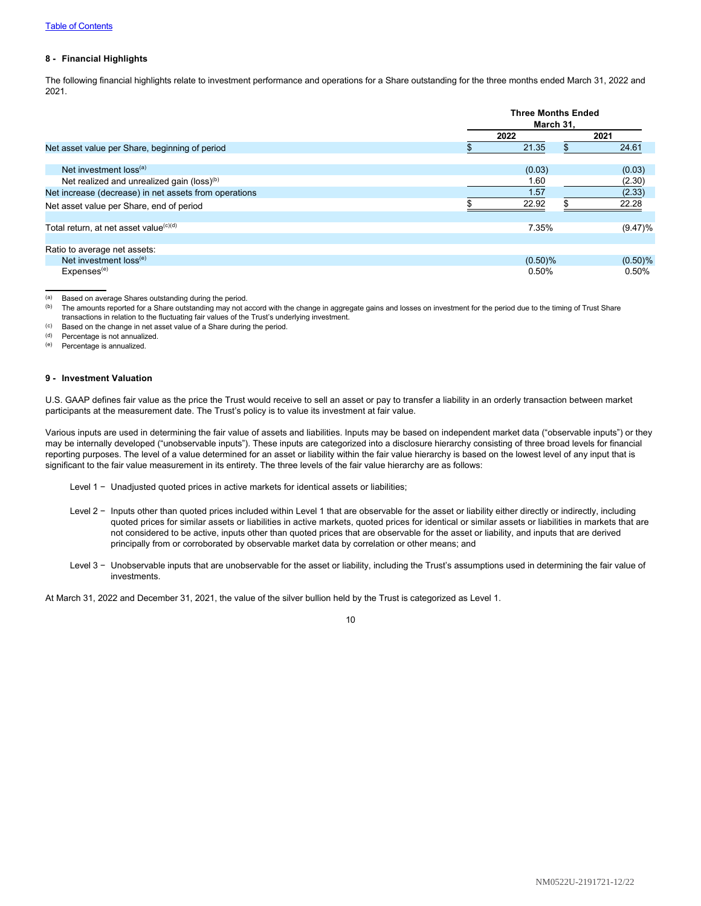## **8 - Financial Highlights**

The following financial highlights relate to investment performance and operations for a Share outstanding for the three months ended March 31, 2022 and 2021.

|                                                        | <b>Three Months Ended</b><br>March 31. |            |  |
|--------------------------------------------------------|----------------------------------------|------------|--|
|                                                        | 2022                                   | 2021       |  |
| Net asset value per Share, beginning of period         | 21.35<br>\$                            | 24.61      |  |
|                                                        |                                        |            |  |
| Net investment $loss^{(a)}$                            | (0.03)                                 | (0.03)     |  |
| Net realized and unrealized gain (loss) <sup>(b)</sup> | 1.60                                   | (2.30)     |  |
| Net increase (decrease) in net assets from operations  | 1.57                                   | (2.33)     |  |
| Net asset value per Share, end of period               | 22.92                                  | 22.28      |  |
|                                                        |                                        |            |  |
| Total return, at net asset value <sup>(c)(d)</sup>     | 7.35%                                  | $(9.47)\%$ |  |
|                                                        |                                        |            |  |
| Ratio to average net assets:                           |                                        |            |  |
| Net investment loss <sup>(e)</sup>                     | (0.50)%                                | $(0.50)$ % |  |
| Expenses <sup>(e)</sup>                                | 0.50%                                  | 0.50%      |  |

(a) Based on average Shares outstanding during the period.<br>(b) The amounts reported for a Share outstanding may not a

- The amounts reported for a Share outstanding may not accord with the change in aggregate gains and losses on investment for the period due to the timing of Trust Share transactions in relation to the fluctuating fair values of the Trust's underlying investment.
- (c) Based on the change in net asset value of a Share during the period.
- (d) Percentage is not annualized.
- (e) Percentage is annualized.

#### **9 - Investment Valuation**

U.S. GAAP defines fair value as the price the Trust would receive to sell an asset or pay to transfer a liability in an orderly transaction between market participants at the measurement date. The Trust's policy is to value its investment at fair value.

Various inputs are used in determining the fair value of assets and liabilities. Inputs may be based on independent market data ("observable inputs") or they may be internally developed ("unobservable inputs"). These inputs are categorized into a disclosure hierarchy consisting of three broad levels for financial reporting purposes. The level of a value determined for an asset or liability within the fair value hierarchy is based on the lowest level of any input that is significant to the fair value measurement in its entirety. The three levels of the fair value hierarchy are as follows:

- Level 1 − Unadjusted quoted prices in active markets for identical assets or liabilities;
- Level 2 − Inputs other than quoted prices included within Level 1 that are observable for the asset or liability either directly or indirectly, including quoted prices for similar assets or liabilities in active markets, quoted prices for identical or similar assets or liabilities in markets that are not considered to be active, inputs other than quoted prices that are observable for the asset or liability, and inputs that are derived principally from or corroborated by observable market data by correlation or other means; and
- Level 3 − Unobservable inputs that are unobservable for the asset or liability, including the Trust's assumptions used in determining the fair value of investments.

At March 31, 2022 and December 31, 2021, the value of the silver bullion held by the Trust is categorized as Level 1.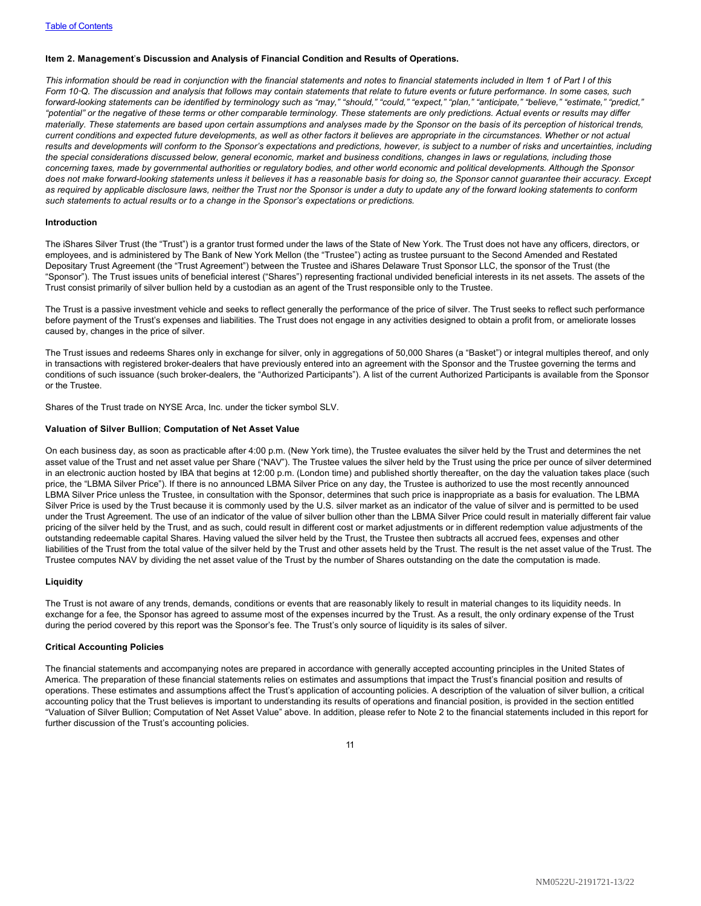#### <span id="page-12-0"></span>**Item 2. Management**'**s Discussion and Analysis of Financial Condition and Results of Operations.**

*This information should be read in conjunction with the financial statements and notes to financial statements included in Item 1 of Part I of this Form 10*‑*Q. The discussion and analysis that follows may contain statements that relate to future events or future performance. In some cases, such forward-looking statements can be identified by terminology such as "may," "should," "could," "expect," "plan," "anticipate," "believe," "estimate," "predict," "potential" or the negative of these terms or other comparable terminology. These statements are only predictions. Actual events or results may differ materially. These statements are based upon certain assumptions and analyses made by the Sponsor on the basis of its perception of historical trends, current conditions and expected future developments, as well as other factors it believes are appropriate in the circumstances. Whether or not actual results and developments will conform to the Sponsor's expectations and predictions, however, is subject to a number of risks and uncertainties, including the special considerations discussed below, general economic, market and business conditions, changes in laws or regulations, including those concerning taxes, made by governmental authorities or regulatory bodies, and other world economic and political developments. Although the Sponsor does not make forward-looking statements unless it believes it has a reasonable basis for doing so, the Sponsor cannot guarantee their accuracy. Except as required by applicable disclosure laws, neither the Trust nor the Sponsor is under a duty to update any of the forward looking statements to conform such statements to actual results or to a change in the Sponsor's expectations or predictions.*

#### **Introduction**

The iShares Silver Trust (the "Trust") is a grantor trust formed under the laws of the State of New York. The Trust does not have any officers, directors, or employees, and is administered by The Bank of New York Mellon (the "Trustee") acting as trustee pursuant to the Second Amended and Restated Depositary Trust Agreement (the "Trust Agreement") between the Trustee and iShares Delaware Trust Sponsor LLC, the sponsor of the Trust (the "Sponsor"). The Trust issues units of beneficial interest ("Shares") representing fractional undivided beneficial interests in its net assets. The assets of the Trust consist primarily of silver bullion held by a custodian as an agent of the Trust responsible only to the Trustee.

The Trust is a passive investment vehicle and seeks to reflect generally the performance of the price of silver. The Trust seeks to reflect such performance before payment of the Trust's expenses and liabilities. The Trust does not engage in any activities designed to obtain a profit from, or ameliorate losses caused by, changes in the price of silver.

The Trust issues and redeems Shares only in exchange for silver, only in aggregations of 50,000 Shares (a "Basket") or integral multiples thereof, and only in transactions with registered broker-dealers that have previously entered into an agreement with the Sponsor and the Trustee governing the terms and conditions of such issuance (such broker-dealers, the "Authorized Participants"). A list of the current Authorized Participants is available from the Sponsor or the Trustee.

Shares of the Trust trade on NYSE Arca, Inc. under the ticker symbol SLV.

#### **Valuation of Silver Bullion**; **Computation of Net Asset Value**

On each business day, as soon as practicable after 4:00 p.m. (New York time), the Trustee evaluates the silver held by the Trust and determines the net asset value of the Trust and net asset value per Share ("NAV"). The Trustee values the silver held by the Trust using the price per ounce of silver determined in an electronic auction hosted by IBA that begins at 12:00 p.m. (London time) and published shortly thereafter, on the day the valuation takes place (such price, the "LBMA Silver Price"). If there is no announced LBMA Silver Price on any day, the Trustee is authorized to use the most recently announced LBMA Silver Price unless the Trustee, in consultation with the Sponsor, determines that such price is inappropriate as a basis for evaluation. The LBMA Silver Price is used by the Trust because it is commonly used by the U.S. silver market as an indicator of the value of silver and is permitted to be used under the Trust Agreement. The use of an indicator of the value of silver bullion other than the LBMA Silver Price could result in materially different fair value pricing of the silver held by the Trust, and as such, could result in different cost or market adjustments or in different redemption value adjustments of the outstanding redeemable capital Shares. Having valued the silver held by the Trust, the Trustee then subtracts all accrued fees, expenses and other liabilities of the Trust from the total value of the silver held by the Trust and other assets held by the Trust. The result is the net asset value of the Trust. The Trustee computes NAV by dividing the net asset value of the Trust by the number of Shares outstanding on the date the computation is made.

#### **Liquidity**

The Trust is not aware of any trends, demands, conditions or events that are reasonably likely to result in material changes to its liquidity needs. In exchange for a fee, the Sponsor has agreed to assume most of the expenses incurred by the Trust. As a result, the only ordinary expense of the Trust during the period covered by this report was the Sponsor's fee. The Trust's only source of liquidity is its sales of silver.

#### **Critical Accounting Policies**

The financial statements and accompanying notes are prepared in accordance with generally accepted accounting principles in the United States of America. The preparation of these financial statements relies on estimates and assumptions that impact the Trust's financial position and results of operations. These estimates and assumptions affect the Trust's application of accounting policies. A description of the valuation of silver bullion, a critical accounting policy that the Trust believes is important to understanding its results of operations and financial position, is provided in the section entitled "Valuation of Silver Bullion; Computation of Net Asset Value" above. In addition, please refer to Note 2 to the financial statements included in this report for further discussion of the Trust's accounting policies.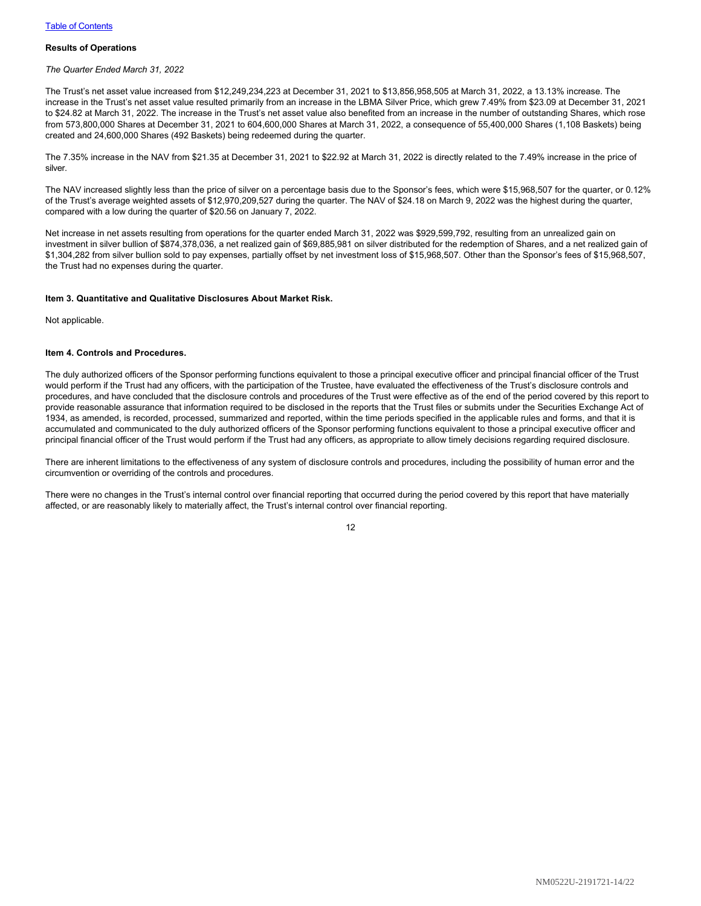#### **Results of Operations**

*The Quarter Ended March 31, 2022*

The Trust's net asset value increased from \$12,249,234,223 at December 31, 2021 to \$13,856,958,505 at March 31, 2022, a 13.13% increase. The increase in the Trust's net asset value resulted primarily from an increase in the LBMA Silver Price, which grew 7.49% from \$23.09 at December 31, 2021 to \$24.82 at March 31, 2022. The increase in the Trust's net asset value also benefited from an increase in the number of outstanding Shares, which rose from 573,800,000 Shares at December 31, 2021 to 604,600,000 Shares at March 31, 2022, a consequence of 55,400,000 Shares (1,108 Baskets) being created and 24,600,000 Shares (492 Baskets) being redeemed during the quarter.

The 7.35% increase in the NAV from \$21.35 at December 31, 2021 to \$22.92 at March 31, 2022 is directly related to the 7.49% increase in the price of silver.

The NAV increased slightly less than the price of silver on a percentage basis due to the Sponsor's fees, which were \$15,968,507 for the quarter, or 0.12% of the Trust's average weighted assets of \$12,970,209,527 during the quarter. The NAV of \$24.18 on March 9, 2022 was the highest during the quarter, compared with a low during the quarter of \$20.56 on January 7, 2022.

Net increase in net assets resulting from operations for the quarter ended March 31, 2022 was \$929,599,792, resulting from an unrealized gain on investment in silver bullion of \$874,378,036, a net realized gain of \$69,885,981 on silver distributed for the redemption of Shares, and a net realized gain of \$1,304,282 from silver bullion sold to pay expenses, partially offset by net investment loss of \$15,968,507. Other than the Sponsor's fees of \$15,968,507, the Trust had no expenses during the quarter.

#### <span id="page-13-0"></span>**Item 3. Quantitative and Qualitative Disclosures About Market Risk.**

Not applicable.

#### <span id="page-13-1"></span>**Item 4. Controls and Procedures.**

The duly authorized officers of the Sponsor performing functions equivalent to those a principal executive officer and principal financial officer of the Trust would perform if the Trust had any officers, with the participation of the Trustee, have evaluated the effectiveness of the Trust's disclosure controls and procedures, and have concluded that the disclosure controls and procedures of the Trust were effective as of the end of the period covered by this report to provide reasonable assurance that information required to be disclosed in the reports that the Trust files or submits under the Securities Exchange Act of 1934, as amended, is recorded, processed, summarized and reported, within the time periods specified in the applicable rules and forms, and that it is accumulated and communicated to the duly authorized officers of the Sponsor performing functions equivalent to those a principal executive officer and principal financial officer of the Trust would perform if the Trust had any officers, as appropriate to allow timely decisions regarding required disclosure.

There are inherent limitations to the effectiveness of any system of disclosure controls and procedures, including the possibility of human error and the circumvention or overriding of the controls and procedures.

There were no changes in the Trust's internal control over financial reporting that occurred during the period covered by this report that have materially affected, or are reasonably likely to materially affect, the Trust's internal control over financial reporting.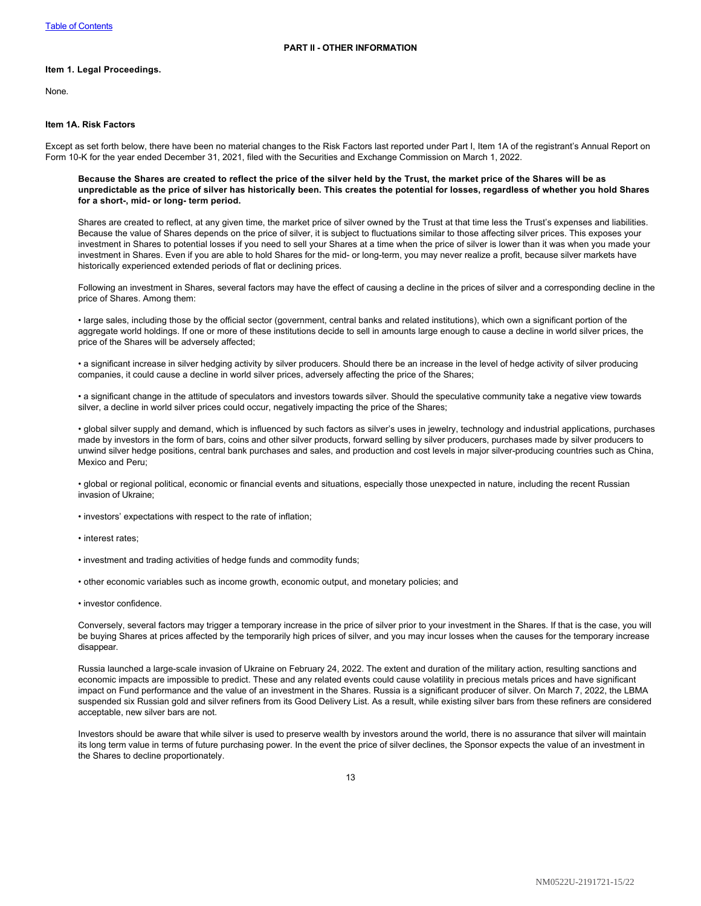#### <span id="page-14-1"></span><span id="page-14-0"></span>**Item 1. Legal Proceedings.**

None.

## <span id="page-14-2"></span>**Item 1A. Risk Factors**

Except as set forth below, there have been no material changes to the Risk Factors last reported under Part I, Item 1A of the registrant's Annual Report on Form 10-K for the year ended December 31, 2021, filed with the Securities and Exchange Commission on March 1, 2022.

**Because the Shares are created to reflect the price of the silver held by the Trust, the market price of the Shares will be as unpredictable as the price of silver has historically been. This creates the potential for losses, regardless of whether you hold Shares for a short-, mid- or long- term period.**

Shares are created to reflect, at any given time, the market price of silver owned by the Trust at that time less the Trust's expenses and liabilities. Because the value of Shares depends on the price of silver, it is subject to fluctuations similar to those affecting silver prices. This exposes your investment in Shares to potential losses if you need to sell your Shares at a time when the price of silver is lower than it was when you made your investment in Shares. Even if you are able to hold Shares for the mid- or long-term, you may never realize a profit, because silver markets have historically experienced extended periods of flat or declining prices.

Following an investment in Shares, several factors may have the effect of causing a decline in the prices of silver and a corresponding decline in the price of Shares. Among them:

• large sales, including those by the official sector (government, central banks and related institutions), which own a significant portion of the aggregate world holdings. If one or more of these institutions decide to sell in amounts large enough to cause a decline in world silver prices, the price of the Shares will be adversely affected;

• a significant increase in silver hedging activity by silver producers. Should there be an increase in the level of hedge activity of silver producing companies, it could cause a decline in world silver prices, adversely affecting the price of the Shares;

• a significant change in the attitude of speculators and investors towards silver. Should the speculative community take a negative view towards silver, a decline in world silver prices could occur, negatively impacting the price of the Shares;

• global silver supply and demand, which is influenced by such factors as silver's uses in jewelry, technology and industrial applications, purchases made by investors in the form of bars, coins and other silver products, forward selling by silver producers, purchases made by silver producers to unwind silver hedge positions, central bank purchases and sales, and production and cost levels in major silver-producing countries such as China, Mexico and Peru;

• global or regional political, economic or financial events and situations, especially those unexpected in nature, including the recent Russian invasion of Ukraine;

- investors' expectations with respect to the rate of inflation;
- interest rates;
- investment and trading activities of hedge funds and commodity funds;
- other economic variables such as income growth, economic output, and monetary policies; and
- investor confidence.

Conversely, several factors may trigger a temporary increase in the price of silver prior to your investment in the Shares. If that is the case, you will be buying Shares at prices affected by the temporarily high prices of silver, and you may incur losses when the causes for the temporary increase disappear.

Russia launched a large-scale invasion of Ukraine on February 24, 2022. The extent and duration of the military action, resulting sanctions and economic impacts are impossible to predict. These and any related events could cause volatility in precious metals prices and have significant impact on Fund performance and the value of an investment in the Shares. Russia is a significant producer of silver. On March 7, 2022, the LBMA suspended six Russian gold and silver refiners from its Good Delivery List. As a result, while existing silver bars from these refiners are considered acceptable, new silver bars are not.

Investors should be aware that while silver is used to preserve wealth by investors around the world, there is no assurance that silver will maintain its long term value in terms of future purchasing power. In the event the price of silver declines, the Sponsor expects the value of an investment in the Shares to decline proportionately.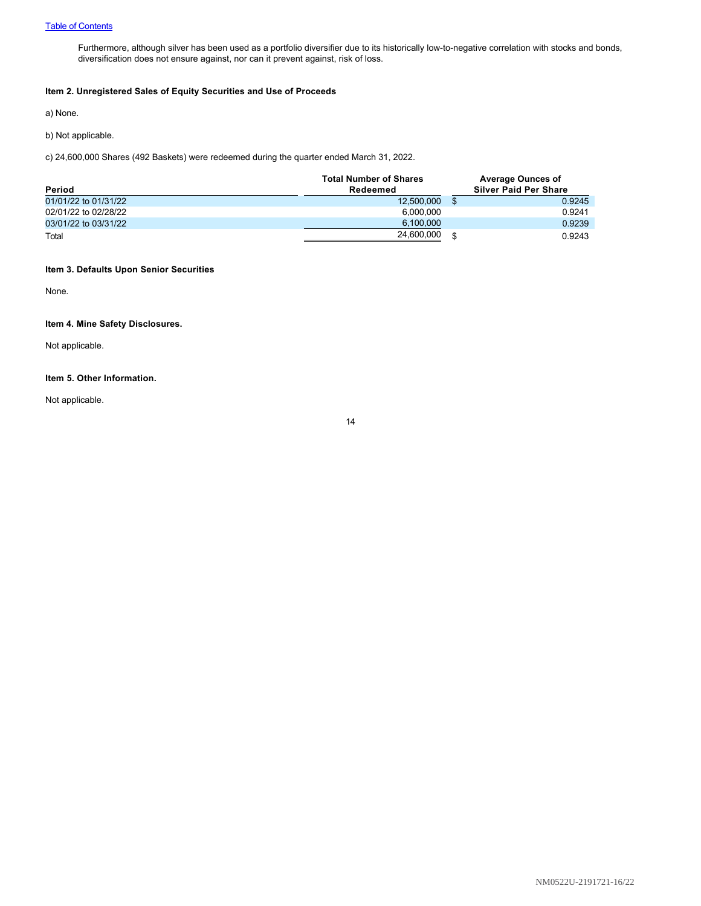Furthermore, although silver has been used as a portfolio diversifier due to its historically low-to-negative correlation with stocks and bonds, diversification does not ensure against, nor can it prevent against, risk of loss.

## <span id="page-15-0"></span>**Item 2. Unregistered Sales of Equity Securities and Use of Proceeds**

a) None.

b) Not applicable.

c) 24,600,000 Shares (492 Baskets) were redeemed during the quarter ended March 31, 2022.

| Period               | <b>Total Number of Shares</b><br>Redeemed |   | <b>Average Ounces of</b><br><b>Silver Paid Per Share</b> |
|----------------------|-------------------------------------------|---|----------------------------------------------------------|
| 01/01/22 to 01/31/22 | 12.500.000                                |   | 0.9245                                                   |
| 02/01/22 to 02/28/22 | 6.000.000                                 |   | 0.9241                                                   |
| 03/01/22 to 03/31/22 | 6.100.000                                 |   | 0.9239                                                   |
| Total                | 24,600,000                                | ¢ | 0.9243                                                   |

## <span id="page-15-1"></span>**Item 3. Defaults Upon Senior Securities**

None.

## <span id="page-15-2"></span>**Item 4. Mine Safety Disclosures.**

Not applicable.

## <span id="page-15-3"></span>**Item 5. Other Information.**

Not applicable.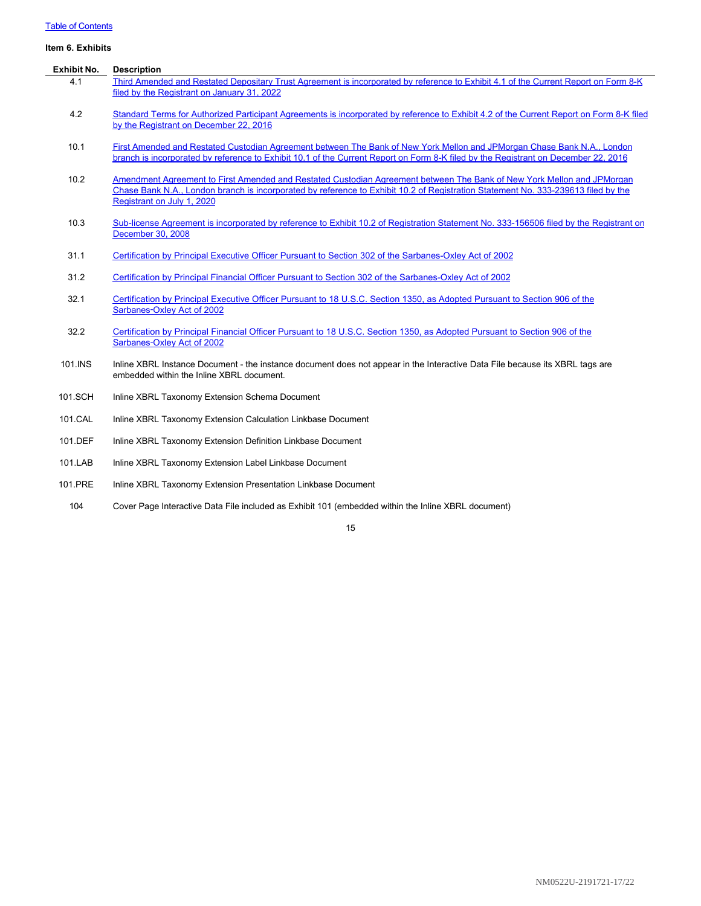## [Table of Contents](#page-1-0)

## <span id="page-16-0"></span>**Item 6. Exhibits**

| <b>Exhibit No.</b> | <b>Description</b>                                                                                                                                                                                                                                                                        |
|--------------------|-------------------------------------------------------------------------------------------------------------------------------------------------------------------------------------------------------------------------------------------------------------------------------------------|
| 4.1                | Third Amended and Restated Depositary Trust Agreement is incorporated by reference to Exhibit 4.1 of the Current Report on Form 8-K<br>filed by the Registrant on January 31, 2022                                                                                                        |
| 4.2                | Standard Terms for Authorized Participant Agreements is incorporated by reference to Exhibit 4.2 of the Current Report on Form 8-K filed<br>by the Registrant on December 22, 2016                                                                                                        |
| 10.1               | First Amended and Restated Custodian Agreement between The Bank of New York Mellon and JPMorgan Chase Bank N.A., London<br>branch is incorporated by reference to Exhibit 10.1 of the Current Report on Form 8-K filed by the Registrant on December 22, 2016                             |
| 10.2               | Amendment Agreement to First Amended and Restated Custodian Agreement between The Bank of New York Mellon and JPMorgan<br>Chase Bank N.A., London branch is incorporated by reference to Exhibit 10.2 of Registration Statement No. 333-239613 filed by the<br>Registrant on July 1, 2020 |
| 10.3               | Sub-license Agreement is incorporated by reference to Exhibit 10.2 of Registration Statement No. 333-156506 filed by the Registrant on<br>December 30, 2008                                                                                                                               |
| 31.1               | Certification by Principal Executive Officer Pursuant to Section 302 of the Sarbanes-Oxley Act of 2002                                                                                                                                                                                    |
| 31.2               | Certification by Principal Financial Officer Pursuant to Section 302 of the Sarbanes-Oxley Act of 2002                                                                                                                                                                                    |
| 32.1               | Certification by Principal Executive Officer Pursuant to 18 U.S.C. Section 1350, as Adopted Pursuant to Section 906 of the<br>Sarbanes-Oxley Act of 2002                                                                                                                                  |
| 32.2               | Certification by Principal Financial Officer Pursuant to 18 U.S.C. Section 1350, as Adopted Pursuant to Section 906 of the<br>Sarbanes-Oxley Act of 2002                                                                                                                                  |
| 101.INS            | Inline XBRL Instance Document - the instance document does not appear in the Interactive Data File because its XBRL tags are<br>embedded within the Inline XBRL document.                                                                                                                 |
| 101.SCH            | Inline XBRL Taxonomy Extension Schema Document                                                                                                                                                                                                                                            |
| 101.CAL            | Inline XBRL Taxonomy Extension Calculation Linkbase Document                                                                                                                                                                                                                              |
| 101.DEF            | Inline XBRL Taxonomy Extension Definition Linkbase Document                                                                                                                                                                                                                               |
| 101.LAB            | Inline XBRL Taxonomy Extension Label Linkbase Document                                                                                                                                                                                                                                    |
| 101.PRE            | Inline XBRL Taxonomy Extension Presentation Linkbase Document                                                                                                                                                                                                                             |

104 Cover Page Interactive Data File included as Exhibit 101 (embedded within the Inline XBRL document)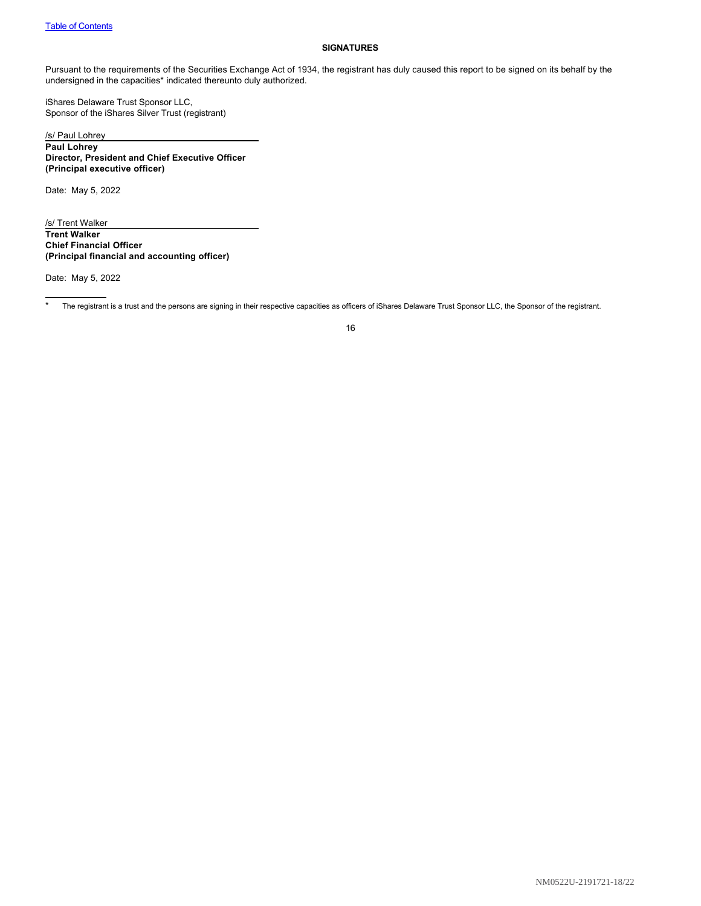### <span id="page-17-0"></span>**SIGNATURES**

Pursuant to the requirements of the Securities Exchange Act of 1934, the registrant has duly caused this report to be signed on its behalf by the undersigned in the capacities\* indicated thereunto duly authorized.

iShares Delaware Trust Sponsor LLC, Sponsor of the iShares Silver Trust (registrant)

/s/ Paul Lohrey **Paul Lohrey Director, President and Chief Executive Officer (Principal executive officer)**

Date: May 5, 2022

/s/ Trent Walker **Trent Walker Chief Financial Officer (Principal financial and accounting officer)**

Date: May 5, 2022

\* The registrant is a trust and the persons are signing in their respective capacities as officers of iShares Delaware Trust Sponsor LLC, the Sponsor of the registrant.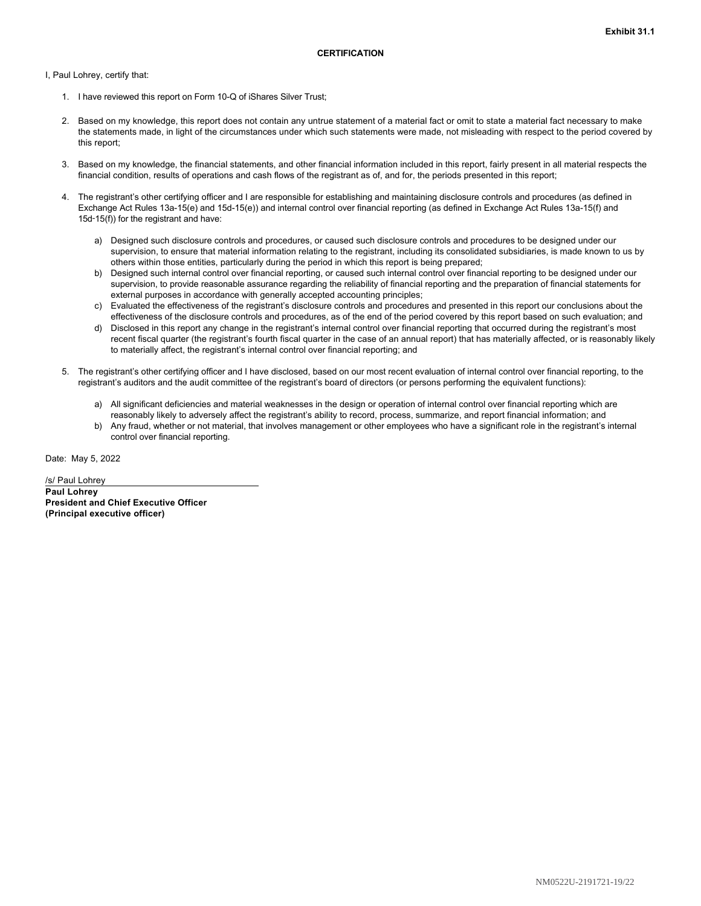<span id="page-18-0"></span>I, Paul Lohrey, certify that:

- 1. I have reviewed this report on Form 10-Q of iShares Silver Trust;
- 2. Based on my knowledge, this report does not contain any untrue statement of a material fact or omit to state a material fact necessary to make the statements made, in light of the circumstances under which such statements were made, not misleading with respect to the period covered by this report;
- 3. Based on my knowledge, the financial statements, and other financial information included in this report, fairly present in all material respects the financial condition, results of operations and cash flows of the registrant as of, and for, the periods presented in this report;
- 4. The registrant's other certifying officer and I are responsible for establishing and maintaining disclosure controls and procedures (as defined in Exchange Act Rules 13a-15(e) and 15d-15(e)) and internal control over financial reporting (as defined in Exchange Act Rules 13a-15(f) and 15d‑15(f)) for the registrant and have:
	- a) Designed such disclosure controls and procedures, or caused such disclosure controls and procedures to be designed under our supervision, to ensure that material information relating to the registrant, including its consolidated subsidiaries, is made known to us by others within those entities, particularly during the period in which this report is being prepared;
	- b) Designed such internal control over financial reporting, or caused such internal control over financial reporting to be designed under our supervision, to provide reasonable assurance regarding the reliability of financial reporting and the preparation of financial statements for external purposes in accordance with generally accepted accounting principles;
	- c) Evaluated the effectiveness of the registrant's disclosure controls and procedures and presented in this report our conclusions about the effectiveness of the disclosure controls and procedures, as of the end of the period covered by this report based on such evaluation; and
	- d) Disclosed in this report any change in the registrant's internal control over financial reporting that occurred during the registrant's most recent fiscal quarter (the registrant's fourth fiscal quarter in the case of an annual report) that has materially affected, or is reasonably likely to materially affect, the registrant's internal control over financial reporting; and
- 5. The registrant's other certifying officer and I have disclosed, based on our most recent evaluation of internal control over financial reporting, to the registrant's auditors and the audit committee of the registrant's board of directors (or persons performing the equivalent functions):
	- a) All significant deficiencies and material weaknesses in the design or operation of internal control over financial reporting which are reasonably likely to adversely affect the registrant's ability to record, process, summarize, and report financial information; and
	- b) Any fraud, whether or not material, that involves management or other employees who have a significant role in the registrant's internal control over financial reporting.

Date: May 5, 2022

/s/ Paul Lohrey **Paul Lohrey President and Chief Executive Officer (Principal executive officer)**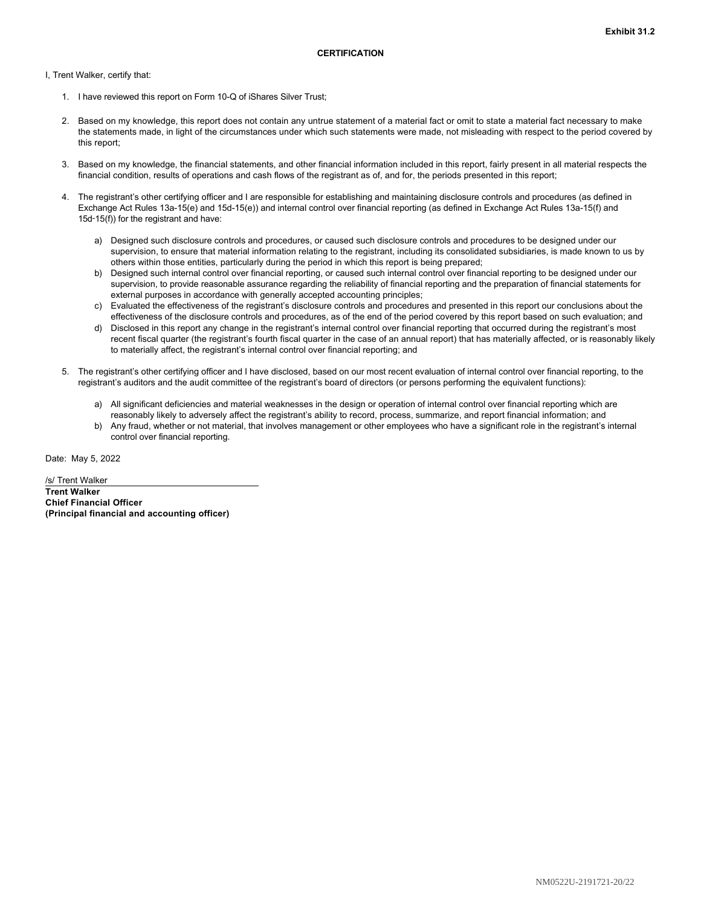<span id="page-19-0"></span>I, Trent Walker, certify that:

- 1. I have reviewed this report on Form 10-Q of iShares Silver Trust;
- 2. Based on my knowledge, this report does not contain any untrue statement of a material fact or omit to state a material fact necessary to make the statements made, in light of the circumstances under which such statements were made, not misleading with respect to the period covered by this report;
- 3. Based on my knowledge, the financial statements, and other financial information included in this report, fairly present in all material respects the financial condition, results of operations and cash flows of the registrant as of, and for, the periods presented in this report;
- 4. The registrant's other certifying officer and I are responsible for establishing and maintaining disclosure controls and procedures (as defined in Exchange Act Rules 13a-15(e) and 15d-15(e)) and internal control over financial reporting (as defined in Exchange Act Rules 13a-15(f) and 15d‑15(f)) for the registrant and have:
	- a) Designed such disclosure controls and procedures, or caused such disclosure controls and procedures to be designed under our supervision, to ensure that material information relating to the registrant, including its consolidated subsidiaries, is made known to us by others within those entities, particularly during the period in which this report is being prepared;
	- b) Designed such internal control over financial reporting, or caused such internal control over financial reporting to be designed under our supervision, to provide reasonable assurance regarding the reliability of financial reporting and the preparation of financial statements for external purposes in accordance with generally accepted accounting principles;
	- c) Evaluated the effectiveness of the registrant's disclosure controls and procedures and presented in this report our conclusions about the effectiveness of the disclosure controls and procedures, as of the end of the period covered by this report based on such evaluation; and
	- d) Disclosed in this report any change in the registrant's internal control over financial reporting that occurred during the registrant's most recent fiscal quarter (the registrant's fourth fiscal quarter in the case of an annual report) that has materially affected, or is reasonably likely to materially affect, the registrant's internal control over financial reporting; and
- 5. The registrant's other certifying officer and I have disclosed, based on our most recent evaluation of internal control over financial reporting, to the registrant's auditors and the audit committee of the registrant's board of directors (or persons performing the equivalent functions):
	- a) All significant deficiencies and material weaknesses in the design or operation of internal control over financial reporting which are reasonably likely to adversely affect the registrant's ability to record, process, summarize, and report financial information; and
	- b) Any fraud, whether or not material, that involves management or other employees who have a significant role in the registrant's internal control over financial reporting.

Date: May 5, 2022

/s/ Trent Walker **Trent Walker Chief Financial Officer (Principal financial and accounting officer)**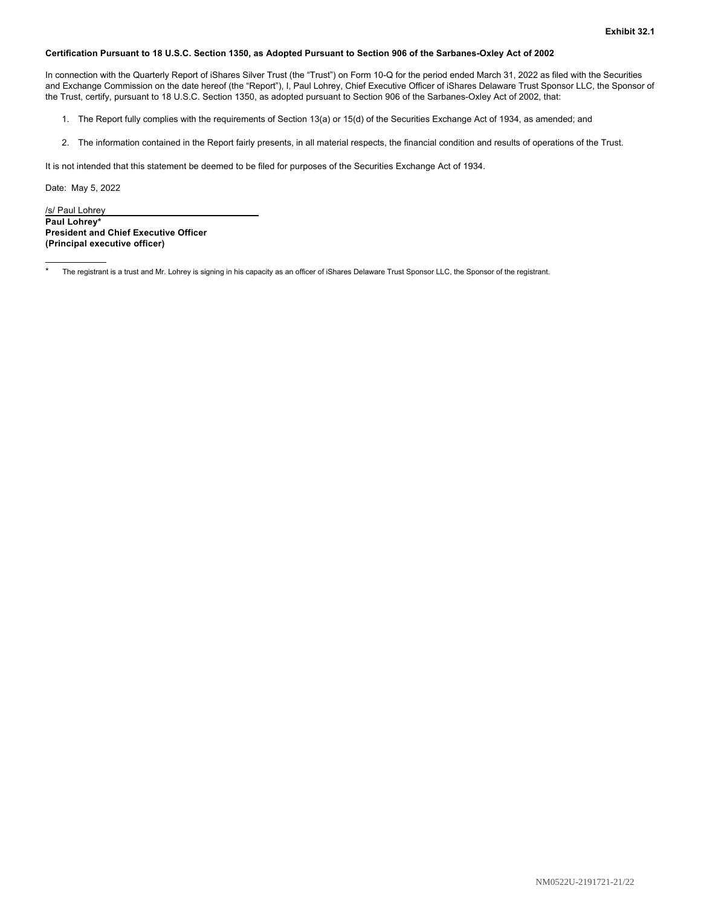#### <span id="page-20-0"></span>**Certification Pursuant to 18 U.S.C. Section 1350, as Adopted Pursuant to Section 906 of the Sarbanes-Oxley Act of 2002**

In connection with the Quarterly Report of iShares Silver Trust (the "Trust") on Form 10-Q for the period ended March 31, 2022 as filed with the Securities and Exchange Commission on the date hereof (the "Report"), I, Paul Lohrey, Chief Executive Officer of iShares Delaware Trust Sponsor LLC, the Sponsor of the Trust, certify, pursuant to 18 U.S.C. Section 1350, as adopted pursuant to Section 906 of the Sarbanes-Oxley Act of 2002, that:

- 1. The Report fully complies with the requirements of Section 13(a) or 15(d) of the Securities Exchange Act of 1934, as amended; and
- 2. The information contained in the Report fairly presents, in all material respects, the financial condition and results of operations of the Trust.

It is not intended that this statement be deemed to be filed for purposes of the Securities Exchange Act of 1934.

Date: May 5, 2022

/s/ Paul Lohrey **Paul Lohrey\* President and Chief Executive Officer (Principal executive officer)**

The registrant is a trust and Mr. Lohrey is signing in his capacity as an officer of iShares Delaware Trust Sponsor LLC, the Sponsor of the registrant.